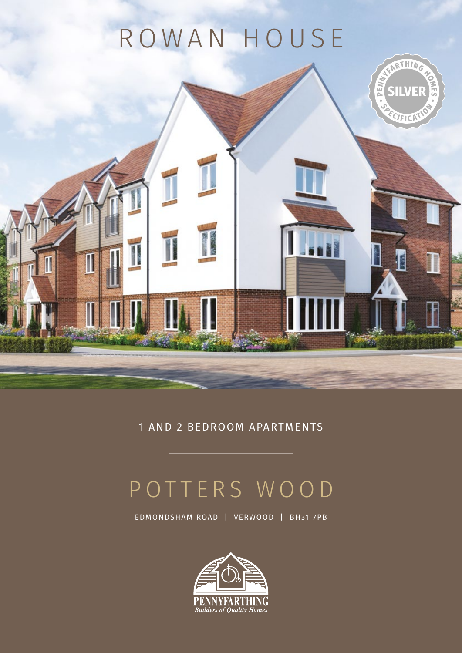# ROWAN HOUSE

T

I

RTHING

**SILVEF** 

ECIFICP

E

**PEN** 



## POTTERS WOOD

EDMONDSHAM ROAD | VERWOOD | BH31 7PB

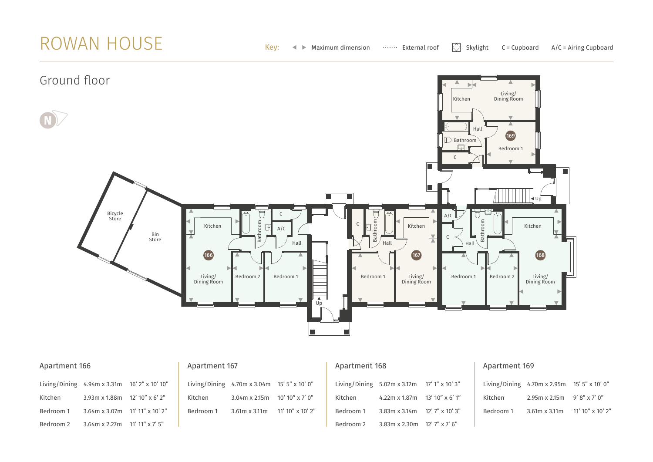### ROWAN HOUSE



| Apartment 166 |                                                                       |                   | Apartment 167 |                                                  | Apartment 168             |           |                                    |
|---------------|-----------------------------------------------------------------------|-------------------|---------------|--------------------------------------------------|---------------------------|-----------|------------------------------------|
|               | Living/Dining $4.94 \text{ m} \times 3.31 \text{ m}$ 16' 2" x 10' 10" |                   |               | Living/Dining $4.70$ m x 3.04m $15'$ 5" x 10' 0" |                           |           | Living/Dining $5.02m \times 3.12m$ |
| Kitchen       | $3.93m \times 1.88m$ 12' 10" $\times$ 6' 2"                           |                   | Kitchen       | $3.04$ m x 2.15m 10' 10" x 7' 0"                 |                           | Kitchen   | $4.22m \times 1.87m$               |
| Bedroom 1     | $3.64$ m x 3.07m 11' 11" x 10' 2"                                     |                   | Bedroom 1     | $3.61m \times 3.11m$                             | $11'$ 10" $\times$ 10' 2" | Bedroom 1 | $3.83m \times 3.14m$               |
| Bedroom 2     | $3.64m \times 2.27m$                                                  | $11'$ 11" x 7' 5" |               |                                                  |                           | Bedroom 2 | $3.83m \times 2.30m$               |

#### Apartment 169

 $17'1''$  x 10' 3"  $13'10'' \times 6'1''$  $12'$  7" x 10' 3"  $12'$  7" x 7' 6"

|           | Living/Dining $4.70m \times 2.95m$ 15' 5" $\times$ 10' 0" |                    |
|-----------|-----------------------------------------------------------|--------------------|
| Kitchen   | $2.95m \times 2.15m$ 9' 8" x 7' 0"                        |                    |
| Bedroom 1 | $3.61m \times 3.11m$                                      | $11'$ 10" x 10' 2" |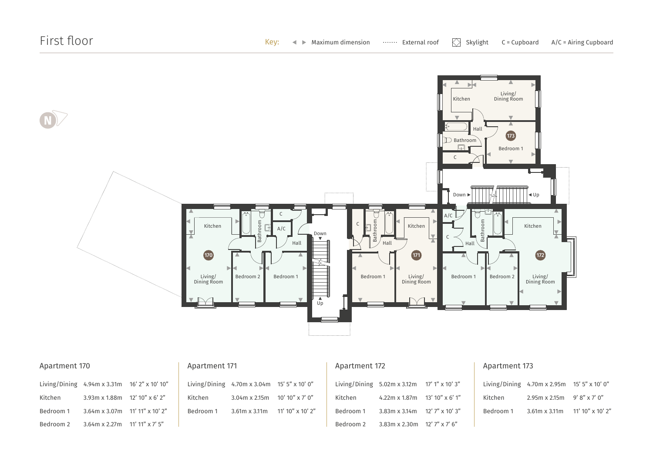

| Apartment 170 |                                                                              |  | Apartment 171 |                                                  |                   | Apartment 172 |                                                    |  | Apartm    |
|---------------|------------------------------------------------------------------------------|--|---------------|--------------------------------------------------|-------------------|---------------|----------------------------------------------------|--|-----------|
|               | Living/Dining $4.94 \text{ m} \times 3.31 \text{ m}$ 16' 2" $\times$ 10' 10" |  |               | Living/Dining $4.70$ m x 3.04m $15'$ 5" x 10' 0" |                   |               | Living/Dining $5.02m \times 3.12m$ 17' 1" x 10' 3" |  | Living/Di |
| Kitchen       | $3.93 \text{ m} \times 1.88 \text{ m}$ 12' 10" $\times$ 6' 2"                |  | Kitchen       | $3.04m \times 2.15m$                             | $10'$ 10" x 7' 0" | Kitchen       | $4.22$ m x 1.87 m 13' 10" x 6' 1"                  |  | Kitchen   |
| Bedroom 1     | $3.64$ m x 3.07 m 11' 11" x 10' 2"                                           |  | Bedroom 1     | $3.61m \times 3.11m$                             | 11' 10" x 10' 2"  | Bedroom 1     | $3.83$ m x 3.14m 12' 7" x 10' 3"                   |  | Bedroom   |
| Bedroom 2     | $3.64$ m x 2.27m 11' 11" x 7' 5"                                             |  |               |                                                  |                   | Bedroom 2     | $3.83$ m x 2.30m 12' 7" x 7' 6"                    |  |           |

#### ent 173

|           | Living/Dining $4.70$ m x 2.95m $15'$ 5" x 10' 0" |                  |
|-----------|--------------------------------------------------|------------------|
| Kitchen   | $2.95m \times 2.15m$ 9' 8" x 7' 0"               |                  |
| Bedroom 1 | $3.61m \times 3.11m$                             | 11' 10" x 10' 2" |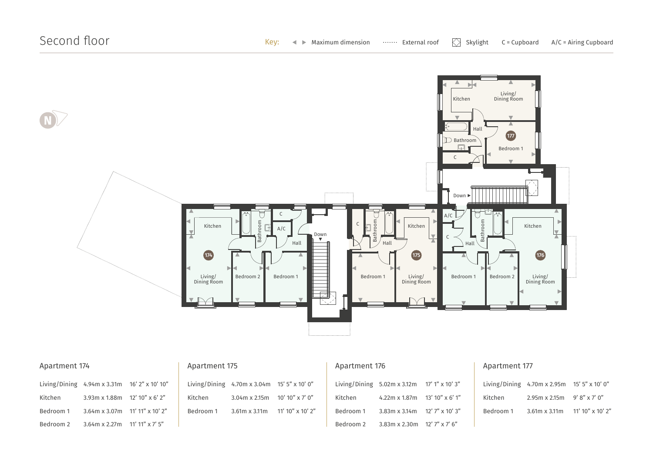

| Apartment 174 |                                                                       |  | Apartment 175 |                                                  |                  | Apartment 176 |                                                    |                 | Apar   |
|---------------|-----------------------------------------------------------------------|--|---------------|--------------------------------------------------|------------------|---------------|----------------------------------------------------|-----------------|--------|
|               | Living/Dining $4.94 \text{ m} \times 3.31 \text{ m}$ 16' 2" x 10' 10" |  |               | Living/Dining $4.70$ m x 3.04m $15'$ 5" x 10' 0" |                  |               | Living/Dining $5.02m \times 3.12m$ 17' 1" x 10' 3" |                 | Living |
| Kitchen       | $3.93$ m x 1.88 m 12' 10" x 6' 2"                                     |  | Kitchen       | $3.04m \times 2.15m$                             | 10' 10" x 7' 0"  | Kitchen       | 4.22m x 1.87m                                      | 13' 10" x 6' 1" | Kitch  |
| Bedroom 1     | $3.64$ m x 3.07 m 11' 11" x 10' 2"                                    |  | Bedroom 1     | $3.61m \times 3.11m$                             | 11' 10" x 10' 2" | Bedroom 1     | $3.83$ m x 3.14 m 12' 7" x 10' 3"                  |                 | Bedro  |
| Bedroom 2     | $3.64$ m x 2.27m 11' 11" x 7' 5"                                      |  |               |                                                  |                  | Bedroom 2     | $3.83$ m x 2.30 m 12' 7" x 7' 6"                   |                 |        |

#### rtment 177

|           | Living/Dining $4.70$ m x 2.95m $15'$ 5" x 10' 0" |                  |
|-----------|--------------------------------------------------|------------------|
| Kitchen   | $2.95m \times 2.15m$ 9' 8" x 7' 0"               |                  |
| Bedroom 1 | $3.61m \times 3.11m$                             | 11' 10" x 10' 2" |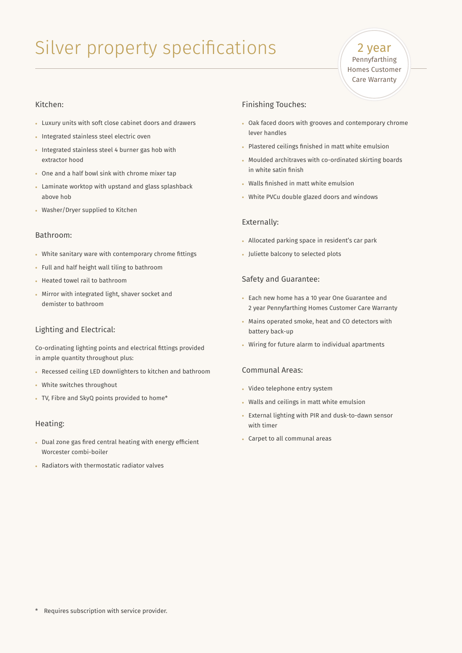### Silver property specifications

2 year Pennyfarthing Homes Customer Care Warranty

#### Kitchen:

- Luxury units with soft close cabinet doors and drawers
- Integrated stainless steel electric oven
- Integrated stainless steel 4 burner gas hob with extractor hood
- One and a half bowl sink with chrome mixer tap
- Laminate worktop with upstand and glass splashback above hob
- Washer/Dryer supplied to Kitchen

#### Bathroom:

- White sanitary ware with contemporary chrome fittings
- Full and half height wall tiling to bathroom
- Heated towel rail to bathroom
- Mirror with integrated light, shaver socket and demister to bathroom

#### Lighting and Electrical:

Co-ordinating lighting points and electrical fittings provided in ample quantity throughout plus:

- Recessed ceiling LED downlighters to kitchen and bathroom
- White switches throughout
- TV, Fibre and SkyQ points provided to home\*

#### Heating:

- Dual zone gas fired central heating with energy efficient Worcester combi-boiler
- Radiators with thermostatic radiator valves

#### Finishing Touches:

- Oak faced doors with grooves and contemporary chrome lever handles
- Plastered ceilings finished in matt white emulsion
- Moulded architraves with co-ordinated skirting boards in white satin finish
- Walls finished in matt white emulsion
- White PVCu double glazed doors and windows

#### Externally:

- Allocated parking space in resident's car park
- Juliette balcony to selected plots

#### Safety and Guarantee:

- Each new home has a 10 year One Guarantee and 2 year Pennyfarthing Homes Customer Care Warranty
- Mains operated smoke, heat and CO detectors with battery back-up
- Wiring for future alarm to individual apartments

#### Communal Areas:

- Video telephone entry system
- Walls and ceilings in matt white emulsion
- External lighting with PIR and dusk-to-dawn sensor with timer
- Carpet to all communal areas